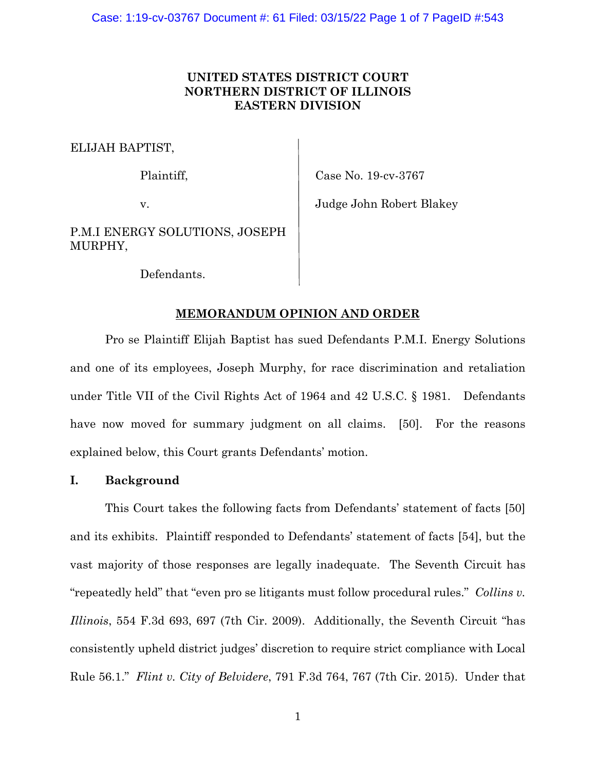# **UNITED STATES DISTRICT COURT NORTHERN DISTRICT OF ILLINOIS EASTERN DIVISION**

ELIJAH BAPTIST,

Plaintiff, Case No. 19-cv-3767

v. Judge John Robert Blakey

P.M.I ENERGY SOLUTIONS, JOSEPH MURPHY,

Defendants.

# **MEMORANDUM OPINION AND ORDER**

Pro se Plaintiff Elijah Baptist has sued Defendants P.M.I. Energy Solutions and one of its employees, Joseph Murphy, for race discrimination and retaliation under Title VII of the Civil Rights Act of 1964 and 42 U.S.C. § 1981. Defendants have now moved for summary judgment on all claims. [50]. For the reasons explained below, this Court grants Defendants' motion.

## **I. Background**

This Court takes the following facts from Defendants' statement of facts [50] and its exhibits. Plaintiff responded to Defendants' statement of facts [54], but the vast majority of those responses are legally inadequate. The Seventh Circuit has "repeatedly held" that "even pro se litigants must follow procedural rules." *Collins v. Illinois*, 554 F.3d 693, 697 (7th Cir. 2009). Additionally, the Seventh Circuit "has consistently upheld district judges' discretion to require strict compliance with Local Rule 56.1." *Flint v. City of Belvidere*, 791 F.3d 764, 767 (7th Cir. 2015). Under that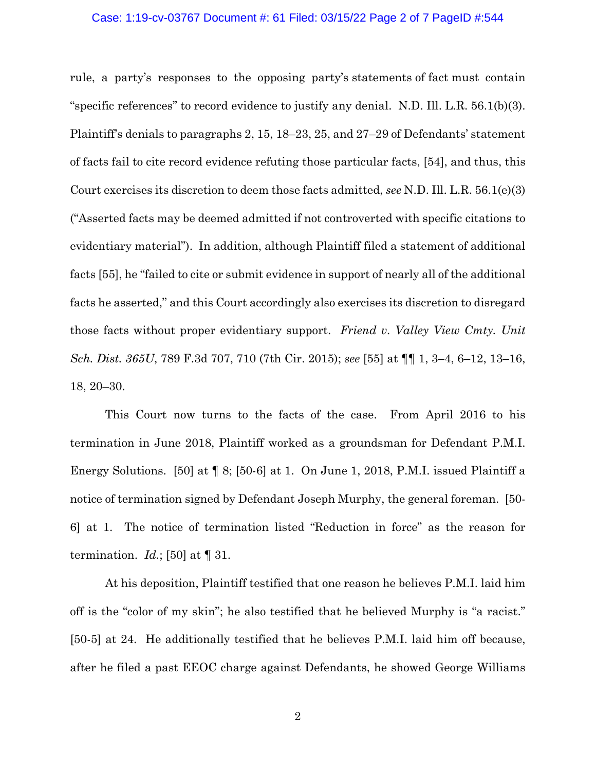### Case: 1:19-cv-03767 Document #: 61 Filed: 03/15/22 Page 2 of 7 PageID #:544

rule, a party's responses to the opposing party's statements of fact must contain "specific references" to record evidence to justify any denial. N.D. Ill. L.R. 56.1(b)(3). Plaintiff's denials to paragraphs 2, 15, 18–23, 25, and 27–29 of Defendants' statement of facts fail to cite record evidence refuting those particular facts, [54], and thus, this Court exercises its discretion to deem those facts admitted, *see* N.D. Ill. L.R. 56.1(e)(3) ("Asserted facts may be deemed admitted if not controverted with specific citations to evidentiary material"). In addition, although Plaintiff filed a statement of additional facts [55], he "failed to cite or submit evidence in support of nearly all of the additional facts he asserted," and this Court accordingly also exercises its discretion to disregard those facts without proper evidentiary support. *Friend v. Valley View Cmty. Unit Sch. Dist. 365U*, 789 F.3d 707, 710 (7th Cir. 2015); *see* [55] at ¶¶ 1, 3–4, 6–12, 13–16, 18, 20–30.

This Court now turns to the facts of the case. From April 2016 to his termination in June 2018, Plaintiff worked as a groundsman for Defendant P.M.I. Energy Solutions. [50] at ¶ 8; [50-6] at 1. On June 1, 2018, P.M.I. issued Plaintiff a notice of termination signed by Defendant Joseph Murphy, the general foreman. [50- 6] at 1. The notice of termination listed "Reduction in force" as the reason for termination.  $Id$ .; [50] at  $\P$  31.

At his deposition, Plaintiff testified that one reason he believes P.M.I. laid him off is the "color of my skin"; he also testified that he believed Murphy is "a racist." [50-5] at 24. He additionally testified that he believes P.M.I. laid him off because, after he filed a past EEOC charge against Defendants, he showed George Williams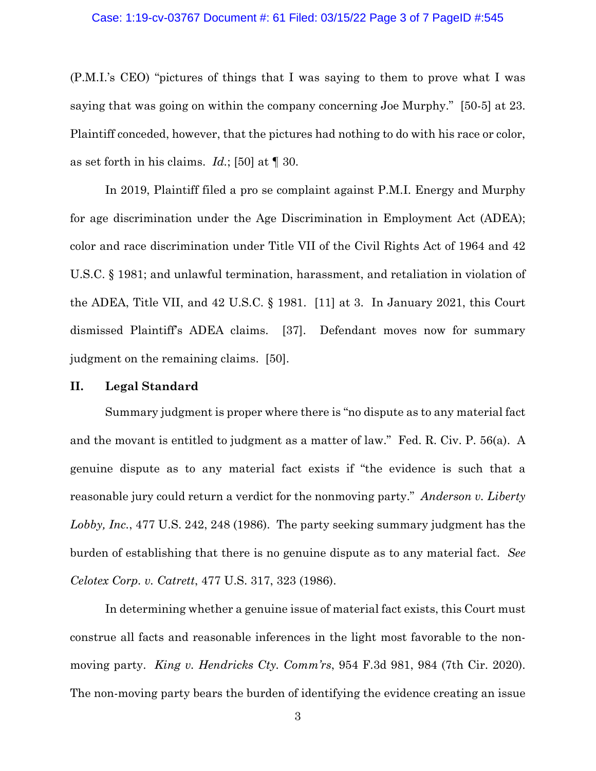### Case: 1:19-cv-03767 Document #: 61 Filed: 03/15/22 Page 3 of 7 PageID #:545

(P.M.I.'s CEO) "pictures of things that I was saying to them to prove what I was saying that was going on within the company concerning Joe Murphy." [50-5] at 23. Plaintiff conceded, however, that the pictures had nothing to do with his race or color, as set forth in his claims. *Id.*; [50] at ¶ 30.

In 2019, Plaintiff filed a pro se complaint against P.M.I. Energy and Murphy for age discrimination under the Age Discrimination in Employment Act (ADEA); color and race discrimination under Title VII of the Civil Rights Act of 1964 and 42 U.S.C. § 1981; and unlawful termination, harassment, and retaliation in violation of the ADEA, Title VII, and 42 U.S.C. § 1981. [11] at 3. In January 2021, this Court dismissed Plaintiff's ADEA claims. [37]. Defendant moves now for summary judgment on the remaining claims. [50].

## **II. Legal Standard**

Summary judgment is proper where there is "no dispute as to any material fact and the movant is entitled to judgment as a matter of law." Fed. R. Civ. P. 56(a). A genuine dispute as to any material fact exists if "the evidence is such that a reasonable jury could return a verdict for the nonmoving party." *Anderson v. Liberty Lobby, Inc.*, 477 U.S. 242, 248 (1986). The party seeking summary judgment has the burden of establishing that there is no genuine dispute as to any material fact. *See Celotex Corp. v. Catrett*, 477 U.S. 317, 323 (1986).

In determining whether a genuine issue of material fact exists, this Court must construe all facts and reasonable inferences in the light most favorable to the nonmoving party. *King v. Hendricks Cty. Comm'rs*, 954 F.3d 981, 984 (7th Cir. 2020). The non-moving party bears the burden of identifying the evidence creating an issue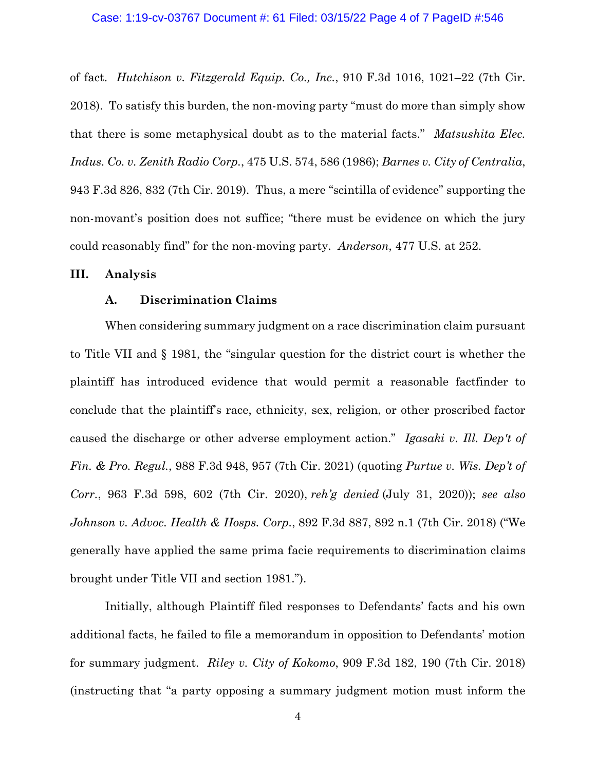#### Case: 1:19-cv-03767 Document #: 61 Filed: 03/15/22 Page 4 of 7 PageID #:546

of fact. *Hutchison v. Fitzgerald Equip. Co., Inc.*, 910 F.3d 1016, 1021–22 (7th Cir. 2018). To satisfy this burden, the non-moving party "must do more than simply show that there is some metaphysical doubt as to the material facts." *Matsushita Elec. Indus. Co. v. Zenith Radio Corp.*, 475 U.S. 574, 586 (1986); *Barnes v. City of Centralia*, 943 F.3d 826, 832 (7th Cir. 2019). Thus, a mere "scintilla of evidence" supporting the non-movant's position does not suffice; "there must be evidence on which the jury could reasonably find" for the non-moving party. *Anderson*, 477 U.S. at 252.

### **III. Analysis**

## **A. Discrimination Claims**

When considering summary judgment on a race discrimination claim pursuant to Title VII and § 1981, the "singular question for the district court is whether the plaintiff has introduced evidence that would permit a reasonable factfinder to conclude that the plaintiff's race, ethnicity, sex, religion, or other proscribed factor caused the discharge or other adverse employment action." *Igasaki v. Ill. Dep't of Fin. & Pro. Regul.*, 988 F.3d 948, 957 (7th Cir. 2021) (quoting *Purtue v. Wis. Dep't of Corr.*, 963 F.3d 598, 602 (7th Cir. 2020), *reh'g denied* (July 31, 2020)); *see also Johnson v. Advoc. Health & Hosps. Corp.*, 892 F.3d 887, 892 n.1 (7th Cir. 2018) ("We generally have applied the same prima facie requirements to discrimination claims brought under Title VII and section 1981.").

Initially, although Plaintiff filed responses to Defendants' facts and his own additional facts, he failed to file a memorandum in opposition to Defendants' motion for summary judgment. *Riley v. City of Kokomo*, 909 F.3d 182, 190 (7th Cir. 2018) (instructing that "a party opposing a summary judgment motion must inform the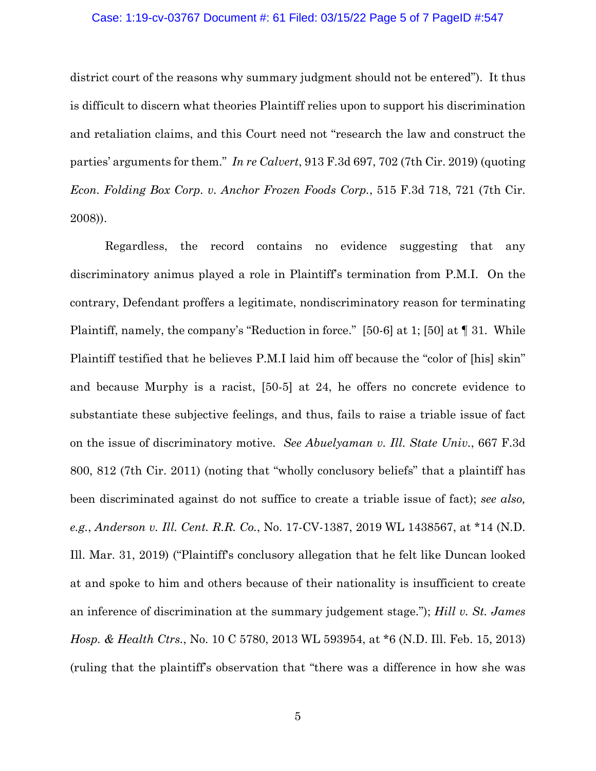#### Case: 1:19-cv-03767 Document #: 61 Filed: 03/15/22 Page 5 of 7 PageID #:547

district court of the reasons why summary judgment should not be entered"). It thus is difficult to discern what theories Plaintiff relies upon to support his discrimination and retaliation claims, and this Court need not "research the law and construct the parties' arguments for them." *In re Calvert*, 913 F.3d 697, 702 (7th Cir. 2019) (quoting *Econ. Folding Box Corp. v. Anchor Frozen Foods Corp.*, 515 F.3d 718, 721 (7th Cir. 2008)).

Regardless, the record contains no evidence suggesting that any discriminatory animus played a role in Plaintiff's termination from P.M.I. On the contrary, Defendant proffers a legitimate, nondiscriminatory reason for terminating Plaintiff, namely, the company's "Reduction in force." [50-6] at 1; [50] at ¶ 31. While Plaintiff testified that he believes P.M.I laid him off because the "color of [his] skin" and because Murphy is a racist, [50-5] at 24, he offers no concrete evidence to substantiate these subjective feelings, and thus, fails to raise a triable issue of fact on the issue of discriminatory motive. *See Abuelyaman v. Ill. State Univ.*, 667 F.3d 800, 812 (7th Cir. 2011) (noting that "wholly conclusory beliefs" that a plaintiff has been discriminated against do not suffice to create a triable issue of fact); *see also, e.g.*, *Anderson v. Ill. Cent. R.R. Co.*, No. 17-CV-1387, 2019 WL 1438567, at \*14 (N.D. Ill. Mar. 31, 2019) ("Plaintiff's conclusory allegation that he felt like Duncan looked at and spoke to him and others because of their nationality is insufficient to create an inference of discrimination at the summary judgement stage."); *Hill v. St. James Hosp. & Health Ctrs.*, No. 10 C 5780, 2013 WL 593954, at \*6 (N.D. Ill. Feb. 15, 2013) (ruling that the plaintiff's observation that "there was a difference in how she was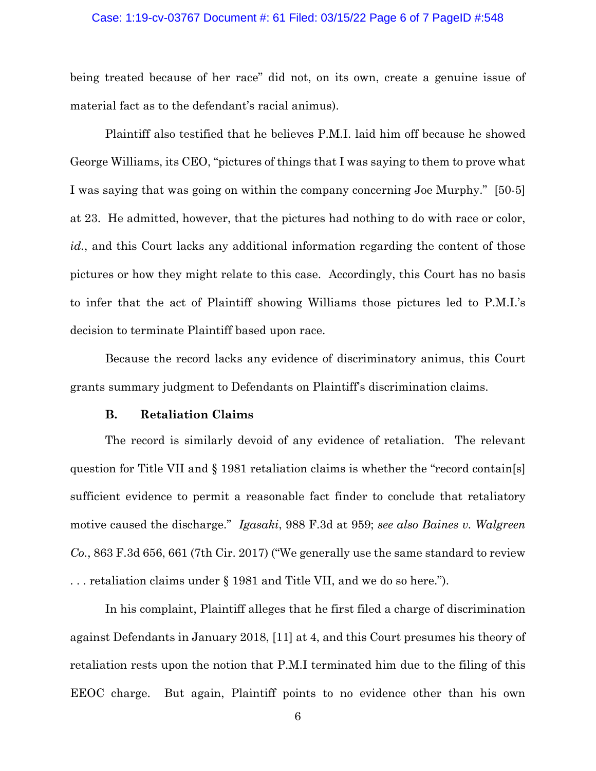#### Case: 1:19-cv-03767 Document #: 61 Filed: 03/15/22 Page 6 of 7 PageID #:548

being treated because of her race" did not, on its own, create a genuine issue of material fact as to the defendant's racial animus).

Plaintiff also testified that he believes P.M.I. laid him off because he showed George Williams, its CEO, "pictures of things that I was saying to them to prove what I was saying that was going on within the company concerning Joe Murphy." [50-5] at 23. He admitted, however, that the pictures had nothing to do with race or color, *id.*, and this Court lacks any additional information regarding the content of those pictures or how they might relate to this case. Accordingly, this Court has no basis to infer that the act of Plaintiff showing Williams those pictures led to P.M.I.'s decision to terminate Plaintiff based upon race.

Because the record lacks any evidence of discriminatory animus, this Court grants summary judgment to Defendants on Plaintiff's discrimination claims.

#### **B. Retaliation Claims**

The record is similarly devoid of any evidence of retaliation. The relevant question for Title VII and § 1981 retaliation claims is whether the "record contain[s] sufficient evidence to permit a reasonable fact finder to conclude that retaliatory motive caused the discharge." *Igasaki*, 988 F.3d at 959; *see also Baines v. Walgreen Co.*, 863 F.3d 656, 661 (7th Cir. 2017) ("We generally use the same standard to review . . . retaliation claims under § 1981 and Title VII, and we do so here.").

In his complaint, Plaintiff alleges that he first filed a charge of discrimination against Defendants in January 2018, [11] at 4, and this Court presumes his theory of retaliation rests upon the notion that P.M.I terminated him due to the filing of this EEOC charge. But again, Plaintiff points to no evidence other than his own